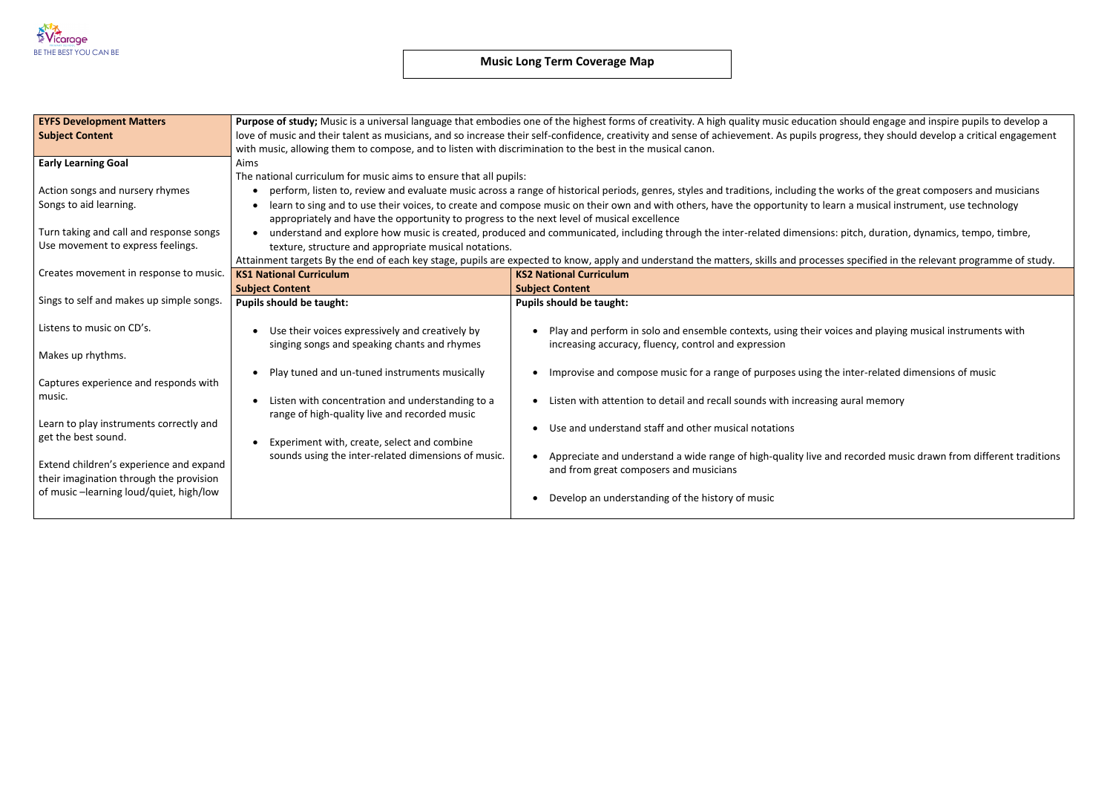

| <b>EYFS Development Matters</b>          | Purpose of study; Music is a universal language that embodies one of the highest forms of creativity. A high quality music education            |                                                                                |  |  |  |
|------------------------------------------|-------------------------------------------------------------------------------------------------------------------------------------------------|--------------------------------------------------------------------------------|--|--|--|
| <b>Subject Content</b>                   | love of music and their talent as musicians, and so increase their self-confidence, creativity and sense of achievement. As pupils prog         |                                                                                |  |  |  |
|                                          | with music, allowing them to compose, and to listen with discrimination to the best in the musical canon.                                       |                                                                                |  |  |  |
| <b>Early Learning Goal</b>               | Aims                                                                                                                                            |                                                                                |  |  |  |
|                                          | The national curriculum for music aims to ensure that all pupils:                                                                               |                                                                                |  |  |  |
| Action songs and nursery rhymes          | perform, listen to, review and evaluate music across a range of historical periods, genres, styles and traditions, including the v<br>$\bullet$ |                                                                                |  |  |  |
| Songs to aid learning.                   | learn to sing and to use their voices, to create and compose music on their own and with others, have the opportunity to lear                   |                                                                                |  |  |  |
|                                          | appropriately and have the opportunity to progress to the next level of musical excellence                                                      |                                                                                |  |  |  |
| Turn taking and call and response songs  | understand and explore how music is created, produced and communicated, including through the inter-related dimensions:<br>$\bullet$            |                                                                                |  |  |  |
| Use movement to express feelings.        | texture, structure and appropriate musical notations.                                                                                           |                                                                                |  |  |  |
|                                          | Attainment targets By the end of each key stage, pupils are expected to know, apply and understand the matters, skills and processe             |                                                                                |  |  |  |
| Creates movement in response to music.   | <b>KS1 National Curriculum</b>                                                                                                                  | <b>KS2 National Curriculum</b>                                                 |  |  |  |
|                                          | <b>Subject Content</b>                                                                                                                          | <b>Subject Content</b>                                                         |  |  |  |
| Sings to self and makes up simple songs. | <b>Pupils should be taught:</b>                                                                                                                 | <b>Pupils should be taught:</b>                                                |  |  |  |
|                                          |                                                                                                                                                 |                                                                                |  |  |  |
| Listens to music on CD's.                | Use their voices expressively and creatively by                                                                                                 | Play and perform in solo and ensemble contexts, using their voi-               |  |  |  |
|                                          | singing songs and speaking chants and rhymes                                                                                                    | increasing accuracy, fluency, control and expression                           |  |  |  |
| Makes up rhythms.                        |                                                                                                                                                 |                                                                                |  |  |  |
|                                          | Play tuned and un-tuned instruments musically                                                                                                   | Improvise and compose music for a range of purposes using the                  |  |  |  |
| Captures experience and responds with    |                                                                                                                                                 |                                                                                |  |  |  |
| music.                                   | Listen with concentration and understanding to a<br>$\bullet$                                                                                   | Listen with attention to detail and recall sounds with increasing<br>$\bullet$ |  |  |  |
|                                          | range of high-quality live and recorded music                                                                                                   |                                                                                |  |  |  |
| Learn to play instruments correctly and  |                                                                                                                                                 | Use and understand staff and other musical notations                           |  |  |  |
| get the best sound.                      | Experiment with, create, select and combine                                                                                                     |                                                                                |  |  |  |
|                                          | sounds using the inter-related dimensions of music.                                                                                             |                                                                                |  |  |  |
| Extend children's experience and expand  |                                                                                                                                                 | Appreciate and understand a wide range of high-quality live and                |  |  |  |
| their imagination through the provision  |                                                                                                                                                 | and from great composers and musicians                                         |  |  |  |
| of music -learning loud/quiet, high/low  |                                                                                                                                                 |                                                                                |  |  |  |
|                                          |                                                                                                                                                 | Develop an understanding of the history of music                               |  |  |  |
|                                          |                                                                                                                                                 |                                                                                |  |  |  |

i should engage and inspire pupils to develop a **higher** gress, they should develop a critical engagement

works of the great composers and musicians rn a musical instrument, use technology

explore how music is plore.<br>It communicated, produced, produced, productions. The inter-relations: pitch, duration, durations, tempo, timbre,

es specified in the relevant programme of study.

ices and playing musical instruments with

Inter-related dimensions of music

dition at the more sound to determine the sound to determine the sound tending the sound tending the sound ten

d recorded music drawn from different traditions

## **Music Long Term Coverage Map**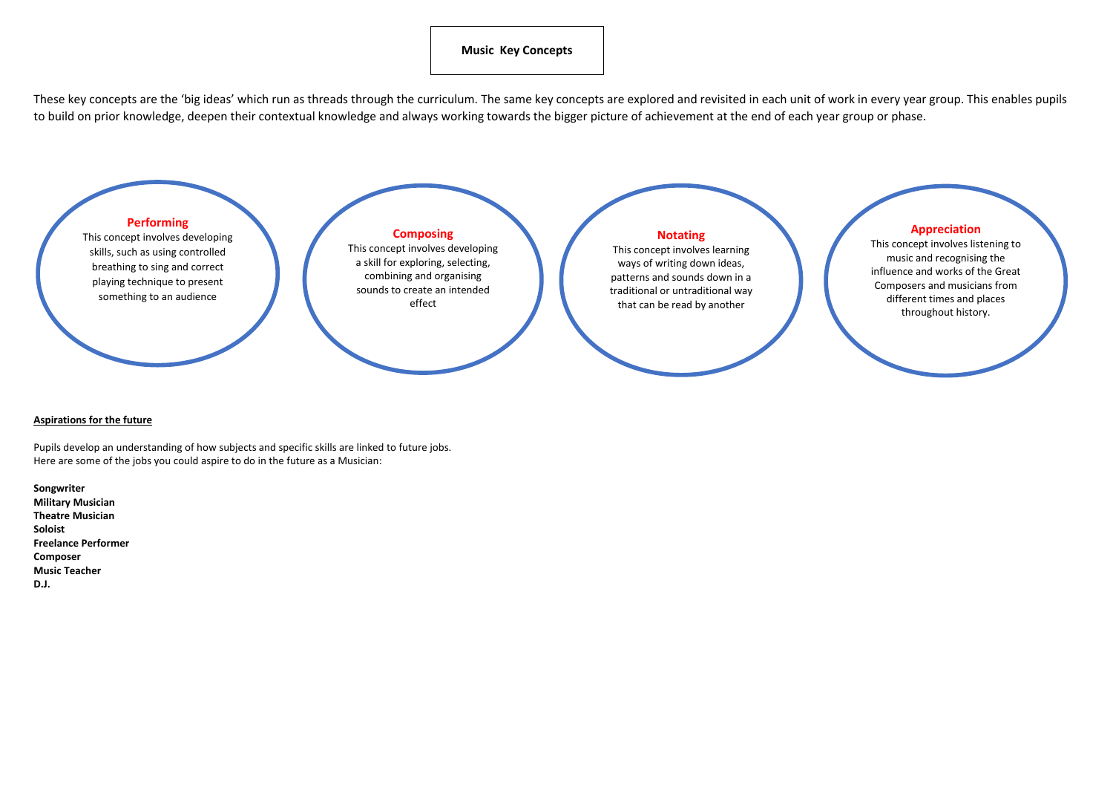These key concepts are the 'big ideas' which run as threads through the curriculum. The same key concepts are explored and revisited in each unit of work in every year group. This enables pupils to build on prior knowledge, deepen their contextual knowledge and always working towards the bigger picture of achievement at the end of each year group or phase.

## **Aspirations for the future**

Pupils develop an understanding of how subjects and specific skills are linked to future jobs. Here are some of the jobs you could aspire to do in the future as a Musician:

**Songwriter Military Musician Theatre Musician Soloist Freelance Performer Composer Music Teacher D.J.**



## **Appreciation**

This concept involves listening to music and recognising the influence and works of the Great Composers and musicians from different times and places throughout history.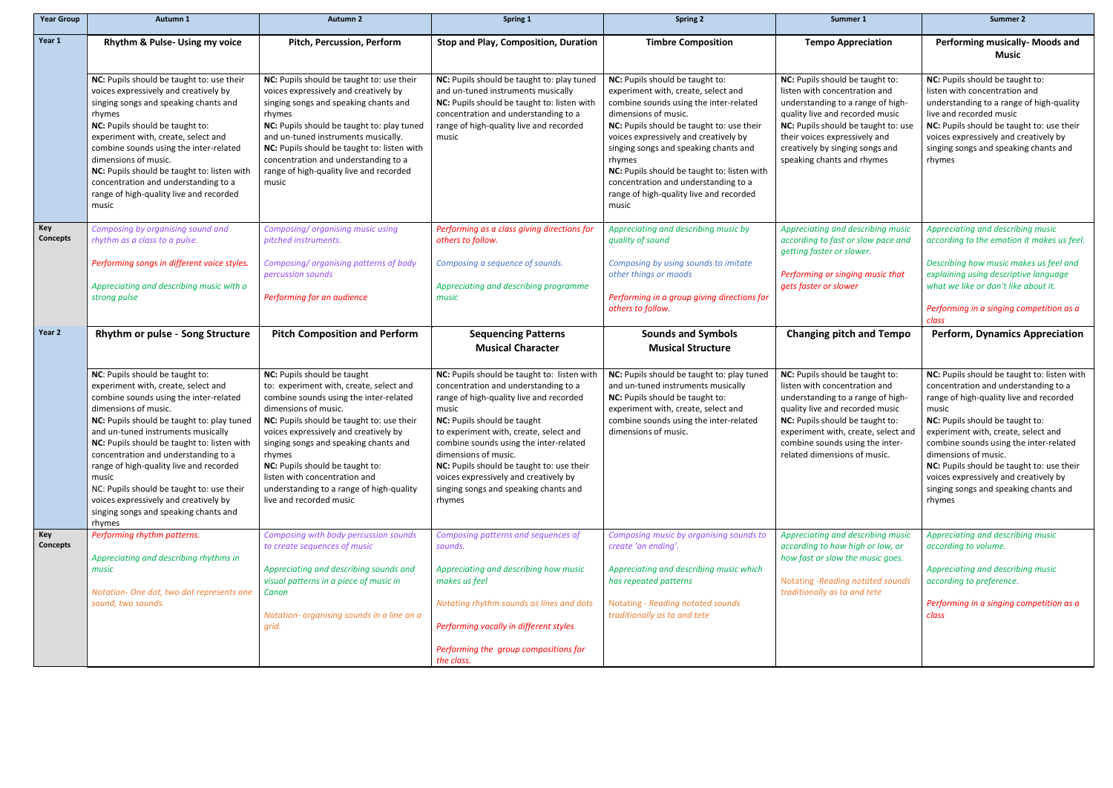| <b>Year Group</b> | Autumn 1                                                                                                                                                                                                                                                                                                                                                                                                                                                                                                         | <b>Autumn 2</b>                                                                                                                                                                                                                                                                                                                                                                                                              | Spring 1                                                                                                                                                                                                                                                                                                                                                                                                                    | <b>Spring 2</b>                                                                                                                                                                                                                                                                                                                                                                                                              | Summer 1                                                                                                                                                                                                                                                                              | Summer 2                                                                                                                                                                                                                                                                                                                                                                                                                     |
|-------------------|------------------------------------------------------------------------------------------------------------------------------------------------------------------------------------------------------------------------------------------------------------------------------------------------------------------------------------------------------------------------------------------------------------------------------------------------------------------------------------------------------------------|------------------------------------------------------------------------------------------------------------------------------------------------------------------------------------------------------------------------------------------------------------------------------------------------------------------------------------------------------------------------------------------------------------------------------|-----------------------------------------------------------------------------------------------------------------------------------------------------------------------------------------------------------------------------------------------------------------------------------------------------------------------------------------------------------------------------------------------------------------------------|------------------------------------------------------------------------------------------------------------------------------------------------------------------------------------------------------------------------------------------------------------------------------------------------------------------------------------------------------------------------------------------------------------------------------|---------------------------------------------------------------------------------------------------------------------------------------------------------------------------------------------------------------------------------------------------------------------------------------|------------------------------------------------------------------------------------------------------------------------------------------------------------------------------------------------------------------------------------------------------------------------------------------------------------------------------------------------------------------------------------------------------------------------------|
| Year 1            | Rhythm & Pulse- Using my voice                                                                                                                                                                                                                                                                                                                                                                                                                                                                                   | <b>Pitch, Percussion, Perform</b>                                                                                                                                                                                                                                                                                                                                                                                            | <b>Stop and Play, Composition, Duration</b>                                                                                                                                                                                                                                                                                                                                                                                 | <b>Timbre Composition</b>                                                                                                                                                                                                                                                                                                                                                                                                    | <b>Tempo Appreciation</b>                                                                                                                                                                                                                                                             | Performing musically- Moods and<br>Music                                                                                                                                                                                                                                                                                                                                                                                     |
|                   | NC: Pupils should be taught to: use their<br>voices expressively and creatively by<br>singing songs and speaking chants and<br>rhymes<br>NC: Pupils should be taught to:<br>experiment with, create, select and<br>combine sounds using the inter-related<br>dimensions of music.<br>NC: Pupils should be taught to: listen with<br>concentration and understanding to a<br>range of high-quality live and recorded<br>music                                                                                     | NC: Pupils should be taught to: use their<br>voices expressively and creatively by<br>singing songs and speaking chants and<br>rhymes<br>NC: Pupils should be taught to: play tuned<br>and un-tuned instruments musically.<br>NC: Pupils should be taught to: listen with<br>concentration and understanding to a<br>range of high-quality live and recorded<br>music                                                        | NC: Pupils should be taught to: play tuned<br>and un-tuned instruments musically<br>NC: Pupils should be taught to: listen with<br>concentration and understanding to a<br>range of high-quality live and recorded<br>music                                                                                                                                                                                                 | NC: Pupils should be taught to:<br>experiment with, create, select and<br>combine sounds using the inter-related<br>dimensions of music.<br>NC: Pupils should be taught to: use their<br>voices expressively and creatively by<br>singing songs and speaking chants and<br>rhymes<br>NC: Pupils should be taught to: listen with<br>concentration and understanding to a<br>range of high-quality live and recorded<br>music | NC: Pupils should be taught to:<br>listen with concentration and<br>understanding to a range of high-<br>quality live and recorded music<br>NC: Pupils should be taught to: use<br>their voices expressively and<br>creatively by singing songs and<br>speaking chants and rhymes     | NC: Pupils should be taught to:<br>listen with concentration and<br>understanding to a range of high-quality<br>live and recorded music<br>NC: Pupils should be taught to: use their<br>voices expressively and creatively by<br>singing songs and speaking chants and<br>rhymes                                                                                                                                             |
| Key<br>Concepts   | Composing by organising sound and<br>rhythm as a class to a pulse.                                                                                                                                                                                                                                                                                                                                                                                                                                               | Composing/ organising music using<br>pitched instruments.                                                                                                                                                                                                                                                                                                                                                                    | Performing as a class giving directions for<br>others to follow.                                                                                                                                                                                                                                                                                                                                                            | Appreciating and describing music by<br>quality of sound                                                                                                                                                                                                                                                                                                                                                                     | Appreciating and describing music<br>according to fast or slow pace and<br>getting faster or slower.                                                                                                                                                                                  | Appreciating and describing music<br>according to the emotion it makes us feel.                                                                                                                                                                                                                                                                                                                                              |
|                   | Performing songs in different voice styles.<br>Appreciating and describing music with a<br>strong pulse                                                                                                                                                                                                                                                                                                                                                                                                          | Composing/organising patterns of body<br>percussion sounds<br>Performing for an audience                                                                                                                                                                                                                                                                                                                                     | Composing a sequence of sounds.<br>Appreciating and describing programme<br>music                                                                                                                                                                                                                                                                                                                                           | Composing by using sounds to imitate<br>other things or moods<br>Performing in a group giving directions for<br>others to follow.                                                                                                                                                                                                                                                                                            | Performing or singing music that<br>gets faster or slower                                                                                                                                                                                                                             | Describing how music makes us feel and<br>explaining using descriptive language<br>what we like or don't like about it.<br>Performing in a singing competition as a                                                                                                                                                                                                                                                          |
| Year 2            | <b>Rhythm or pulse - Song Structure</b>                                                                                                                                                                                                                                                                                                                                                                                                                                                                          | <b>Pitch Composition and Perform</b>                                                                                                                                                                                                                                                                                                                                                                                         | <b>Sequencing Patterns</b><br><b>Musical Character</b>                                                                                                                                                                                                                                                                                                                                                                      | <b>Sounds and Symbols</b><br><b>Musical Structure</b>                                                                                                                                                                                                                                                                                                                                                                        | <b>Changing pitch and Tempo</b>                                                                                                                                                                                                                                                       | class<br><b>Perform, Dynamics Appreciation</b>                                                                                                                                                                                                                                                                                                                                                                               |
|                   | NC: Pupils should be taught to:<br>experiment with, create, select and<br>combine sounds using the inter-related<br>dimensions of music.<br>NC: Pupils should be taught to: play tuned<br>and un-tuned instruments musically<br>NC: Pupils should be taught to: listen with<br>concentration and understanding to a<br>range of high-quality live and recorded<br>music<br>NC: Pupils should be taught to: use their<br>voices expressively and creatively by<br>singing songs and speaking chants and<br>rhymes | NC: Pupils should be taught<br>to: experiment with, create, select and<br>combine sounds using the inter-related<br>dimensions of music.<br>NC: Pupils should be taught to: use their<br>voices expressively and creatively by<br>singing songs and speaking chants and<br>rhymes<br>NC: Pupils should be taught to:<br>listen with concentration and<br>understanding to a range of high-quality<br>live and recorded music | NC: Pupils should be taught to: listen with<br>concentration and understanding to a<br>range of high-quality live and recorded<br>music<br>NC: Pupils should be taught<br>to experiment with, create, select and<br>combine sounds using the inter-related<br>dimensions of music.<br>NC: Pupils should be taught to: use their<br>voices expressively and creatively by<br>singing songs and speaking chants and<br>rhymes | NC: Pupils should be taught to: play tuned<br>and un-tuned instruments musically<br>NC: Pupils should be taught to:<br>experiment with, create, select and<br>combine sounds using the inter-related<br>dimensions of music.                                                                                                                                                                                                 | NC: Pupils should be taught to:<br>listen with concentration and<br>understanding to a range of high-<br>quality live and recorded music<br>NC: Pupils should be taught to:<br>experiment with, create, select and<br>combine sounds using the inter-<br>related dimensions of music. | NC: Pupils should be taught to: listen with<br>concentration and understanding to a<br>range of high-quality live and recorded<br>music<br>NC: Pupils should be taught to:<br>experiment with, create, select and<br>combine sounds using the inter-related<br>dimensions of music.<br>NC: Pupils should be taught to: use their<br>voices expressively and creatively by<br>singing songs and speaking chants and<br>rhymes |
| Key<br>Concepts   | Performing rhythm patterns.<br>Appreciating and describing rhythms in<br>music                                                                                                                                                                                                                                                                                                                                                                                                                                   | Composing with body percussion sounds<br>to create sequences of music<br>Appreciating and describing sounds and<br>visual patterns in a piece of music in                                                                                                                                                                                                                                                                    | Composing patterns and sequences of<br>sounds.<br>Appreciating and describing how music<br>makes us feel                                                                                                                                                                                                                                                                                                                    | Composing music by organising sounds to<br>create 'an ending'.<br>Appreciating and describing music which<br>has repeated patterns                                                                                                                                                                                                                                                                                           | Appreciating and describing music<br>according to how high or low, or<br>how fast or slow the music goes.<br>Notating -Reading notated sounds                                                                                                                                         | Appreciating and describing music<br>according to volume.<br>Appreciating and describing music<br>according to preference.                                                                                                                                                                                                                                                                                                   |
|                   | Notation- One dot, two dot represents one<br>sound, two sounds.                                                                                                                                                                                                                                                                                                                                                                                                                                                  | Canon<br>Notation- organising sounds in a line on a<br>grid.                                                                                                                                                                                                                                                                                                                                                                 | Notating rhythm sounds as lines and dots<br>Performing vocally in different styles                                                                                                                                                                                                                                                                                                                                          | Notating - Reading notated sounds<br>traditionally as ta and tete                                                                                                                                                                                                                                                                                                                                                            | traditionally as ta and tete                                                                                                                                                                                                                                                          | Performing in a singing competition as a<br>class                                                                                                                                                                                                                                                                                                                                                                            |
|                   |                                                                                                                                                                                                                                                                                                                                                                                                                                                                                                                  |                                                                                                                                                                                                                                                                                                                                                                                                                              | Performing the group compositions for<br>the class.                                                                                                                                                                                                                                                                                                                                                                         |                                                                                                                                                                                                                                                                                                                                                                                                                              |                                                                                                                                                                                                                                                                                       |                                                                                                                                                                                                                                                                                                                                                                                                                              |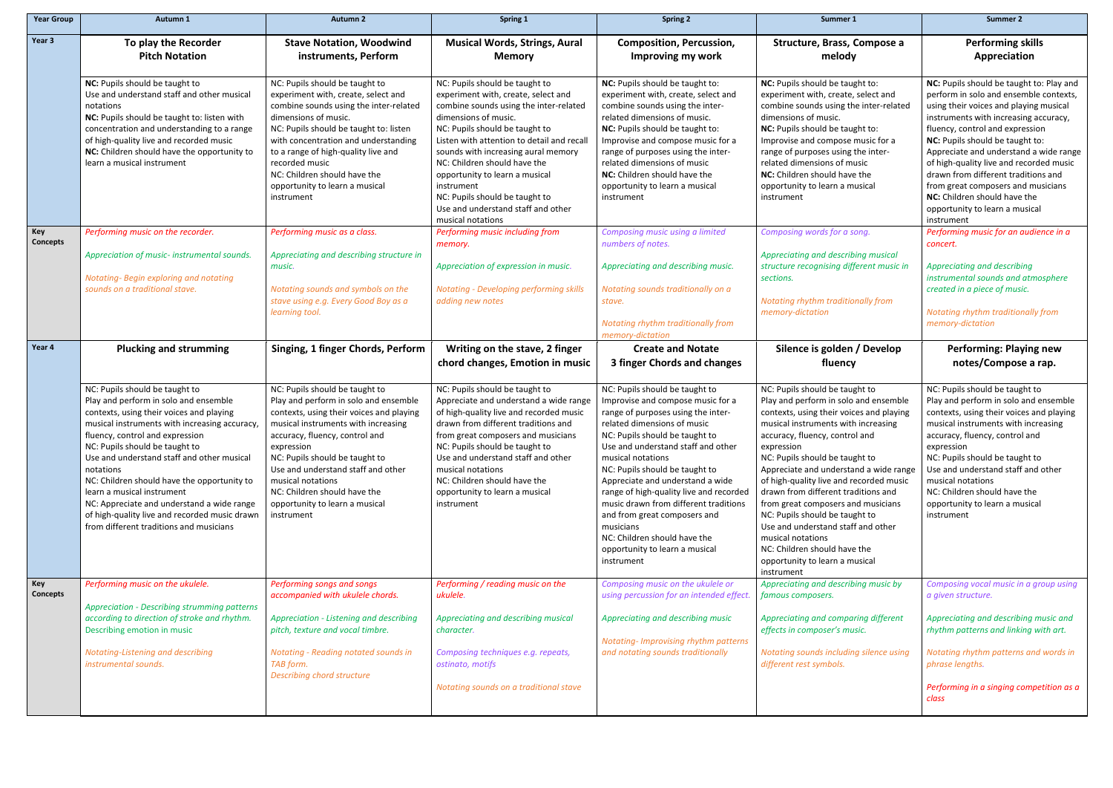| <b>Year Group</b> | <b>Autumn 1</b>                                                                                                                                                                                                                                                                                                                                                                                                                                                                                                             | <b>Autumn 2</b>                                                                                                                                                                                                                                                                                                                                                                         | Spring 1                                                                                                                                                                                                                                                                                                                                                                                                                                  | <b>Spring 2</b>                                                                                                                                                                                                                                                                                                                                                                                                                                                                                                              | Summer 1                                                                                                                                                                                                                                                                                                                                                                                                                                                                                                                                                                                    | Summer 2                                                                                                                                                                                                                                                                                                                                                                                                                                                                                      |
|-------------------|-----------------------------------------------------------------------------------------------------------------------------------------------------------------------------------------------------------------------------------------------------------------------------------------------------------------------------------------------------------------------------------------------------------------------------------------------------------------------------------------------------------------------------|-----------------------------------------------------------------------------------------------------------------------------------------------------------------------------------------------------------------------------------------------------------------------------------------------------------------------------------------------------------------------------------------|-------------------------------------------------------------------------------------------------------------------------------------------------------------------------------------------------------------------------------------------------------------------------------------------------------------------------------------------------------------------------------------------------------------------------------------------|------------------------------------------------------------------------------------------------------------------------------------------------------------------------------------------------------------------------------------------------------------------------------------------------------------------------------------------------------------------------------------------------------------------------------------------------------------------------------------------------------------------------------|---------------------------------------------------------------------------------------------------------------------------------------------------------------------------------------------------------------------------------------------------------------------------------------------------------------------------------------------------------------------------------------------------------------------------------------------------------------------------------------------------------------------------------------------------------------------------------------------|-----------------------------------------------------------------------------------------------------------------------------------------------------------------------------------------------------------------------------------------------------------------------------------------------------------------------------------------------------------------------------------------------------------------------------------------------------------------------------------------------|
| Year 3            | To play the Recorder<br><b>Pitch Notation</b>                                                                                                                                                                                                                                                                                                                                                                                                                                                                               | <b>Stave Notation, Woodwind</b><br>instruments, Perform                                                                                                                                                                                                                                                                                                                                 | <b>Musical Words, Strings, Aural</b><br><b>Memory</b>                                                                                                                                                                                                                                                                                                                                                                                     | <b>Composition, Percussion,</b><br>Improving my work                                                                                                                                                                                                                                                                                                                                                                                                                                                                         | Structure, Brass, Compose a<br>melody                                                                                                                                                                                                                                                                                                                                                                                                                                                                                                                                                       | <b>Performing skills</b><br>Appreciation                                                                                                                                                                                                                                                                                                                                                                                                                                                      |
|                   | NC: Pupils should be taught to<br>Use and understand staff and other musical<br>notations<br>NC: Pupils should be taught to: listen with<br>concentration and understanding to a range<br>of high-quality live and recorded music<br>NC: Children should have the opportunity to<br>learn a musical instrument                                                                                                                                                                                                              | NC: Pupils should be taught to<br>experiment with, create, select and<br>combine sounds using the inter-related<br>dimensions of music.<br>NC: Pupils should be taught to: listen<br>with concentration and understanding<br>to a range of high-quality live and<br>recorded music<br>NC: Children should have the<br>opportunity to learn a musical<br>instrument                      | NC: Pupils should be taught to<br>experiment with, create, select and<br>combine sounds using the inter-related<br>dimensions of music.<br>NC: Pupils should be taught to<br>Listen with attention to detail and reca<br>sounds with increasing aural memory<br>NC: Children should have the<br>opportunity to learn a musical<br>instrument<br>NC: Pupils should be taught to<br>Use and understand staff and other<br>musical notations | NC: Pupils should be taught to:<br>experiment with, create, select and<br>combine sounds using the inter-<br>related dimensions of music.<br>NC: Pupils should be taught to:<br>Improvise and compose music for a<br>range of purposes using the inter-<br>related dimensions of music<br>NC: Children should have the<br>opportunity to learn a musical<br>instrument                                                                                                                                                       | NC: Pupils should be taught to:<br>experiment with, create, select and<br>combine sounds using the inter-related<br>dimensions of music.<br>NC: Pupils should be taught to:<br>Improvise and compose music for a<br>range of purposes using the inter-<br>related dimensions of music<br>NC: Children should have the<br>opportunity to learn a musical<br>instrument                                                                                                                                                                                                                       | NC: Pupils should be taught to: Play and<br>perform in solo and ensemble contexts,<br>using their voices and playing musical<br>instruments with increasing accuracy,<br>fluency, control and expression<br>NC: Pupils should be taught to:<br>Appreciate and understand a wide range<br>of high-quality live and recorded music<br>drawn from different traditions and<br>from great composers and musicians<br>NC: Children should have the<br>opportunity to learn a musical<br>instrument |
| Key<br>Concepts   | Performing music on the recorder.<br>Appreciation of music- instrumental sounds.<br>Notating- Begin exploring and notating<br>sounds on a traditional stave.                                                                                                                                                                                                                                                                                                                                                                | Performing music as a class.<br>Appreciating and describing structure in<br>music.<br>Notating sounds and symbols on the<br>stave using e.g. Every Good Boy as a<br>learning tool.                                                                                                                                                                                                      | Performing music including from<br>memory.<br>Appreciation of expression in music.<br><b>Notating - Developing performing skills</b><br>adding new notes                                                                                                                                                                                                                                                                                  | Composing music using a limited<br>numbers of notes.<br>Appreciating and describing music.<br>Notating sounds traditionally on a<br>stave.<br>Notating rhythm traditionally from<br>memory-dictation                                                                                                                                                                                                                                                                                                                         | Composing words for a song.<br>Appreciating and describing musical<br>structure recognising different music in<br>sections.<br>Notating rhythm traditionally from<br>memory-dictation                                                                                                                                                                                                                                                                                                                                                                                                       | Performing music for an audience in a<br>concert.<br>Appreciating and describing<br>instrumental sounds and atmosphere<br>created in a piece of music.<br>Notating rhythm traditionally from<br>memory-dictation                                                                                                                                                                                                                                                                              |
| Year 4            | <b>Plucking and strumming</b>                                                                                                                                                                                                                                                                                                                                                                                                                                                                                               | Singing, 1 finger Chords, Perform                                                                                                                                                                                                                                                                                                                                                       | Writing on the stave, 2 finger<br>chord changes, Emotion in music                                                                                                                                                                                                                                                                                                                                                                         | <b>Create and Notate</b><br>3 finger Chords and changes                                                                                                                                                                                                                                                                                                                                                                                                                                                                      | Silence is golden / Develop<br>fluency                                                                                                                                                                                                                                                                                                                                                                                                                                                                                                                                                      | <b>Performing: Playing new</b><br>notes/Compose a rap.                                                                                                                                                                                                                                                                                                                                                                                                                                        |
|                   | NC: Pupils should be taught to<br>Play and perform in solo and ensemble<br>contexts, using their voices and playing<br>musical instruments with increasing accuracy,<br>fluency, control and expression<br>NC: Pupils should be taught to<br>Use and understand staff and other musical<br>notations<br>NC: Children should have the opportunity to<br>learn a musical instrument<br>NC: Appreciate and understand a wide range<br>of high-quality live and recorded music drawn<br>from different traditions and musicians | NC: Pupils should be taught to<br>Play and perform in solo and ensemble<br>contexts, using their voices and playing<br>musical instruments with increasing<br>accuracy, fluency, control and<br>expression<br>NC: Pupils should be taught to<br>Use and understand staff and other<br>musical notations<br>NC: Children should have the<br>opportunity to learn a musical<br>instrument | NC: Pupils should be taught to<br>Appreciate and understand a wide range<br>of high-quality live and recorded music<br>drawn from different traditions and<br>from great composers and musicians<br>NC: Pupils should be taught to<br>Use and understand staff and other<br>musical notations<br>NC: Children should have the<br>opportunity to learn a musical<br>instrument                                                             | NC: Pupils should be taught to<br>Improvise and compose music for a<br>range of purposes using the inter-<br>related dimensions of music<br>NC: Pupils should be taught to<br>Use and understand staff and other<br>musical notations<br>NC: Pupils should be taught to<br>Appreciate and understand a wide<br>range of high-quality live and recorded<br>music drawn from different traditions<br>and from great composers and<br>musicians<br>NC: Children should have the<br>opportunity to learn a musical<br>instrument | NC: Pupils should be taught to<br>Play and perform in solo and ensemble<br>contexts, using their voices and playing<br>musical instruments with increasing<br>accuracy, fluency, control and<br>expression<br>NC: Pupils should be taught to<br>Appreciate and understand a wide range<br>of high-quality live and recorded music<br>drawn from different traditions and<br>from great composers and musicians<br>NC: Pupils should be taught to<br>Use and understand staff and other<br>musical notations<br>NC: Children should have the<br>opportunity to learn a musical<br>instrument | NC: Pupils should be taught to<br>Play and perform in solo and ensemble<br>contexts, using their voices and playing<br>musical instruments with increasing<br>accuracy, fluency, control and<br>expression<br>NC: Pupils should be taught to<br>Use and understand staff and other<br>musical notations<br>NC: Children should have the<br>opportunity to learn a musical<br>instrument                                                                                                       |
| Key<br>Concepts   | Performing music on the ukulele.<br><b>Appreciation - Describing strumming patterns</b><br>according to direction of stroke and rhythm.<br>Describing emotion in music<br>Notating-Listening and describing<br>instrumental sounds.                                                                                                                                                                                                                                                                                         | Performing songs and songs<br>accompanied with ukulele chords.<br>Appreciation - Listening and describing<br>pitch, texture and vocal timbre.<br>Notating - Reading notated sounds in<br>TAB form.<br><b>Describing chord structure</b>                                                                                                                                                 | Performing / reading music on the<br>ukulele.<br>Appreciating and describing musical<br>character.<br>Composing techniques e.g. repeats,<br>ostinato, motifs                                                                                                                                                                                                                                                                              | Composing music on the ukulele or<br>using percussion for an intended effect.<br>Appreciating and describing music<br>Notating-Improvising rhythm patterns<br>and notating sounds traditionally                                                                                                                                                                                                                                                                                                                              | Appreciating and describing music by<br>famous composers.<br>Appreciating and comparing different<br>effects in composer's music.<br>Notating sounds including silence using<br>different rest symbols.                                                                                                                                                                                                                                                                                                                                                                                     | Composing vocal music in a group using<br>a given structure.<br>Appreciating and describing music and<br>rhythm patterns and linking with art.<br>Notating rhythm patterns and words in<br>phrase lengths.                                                                                                                                                                                                                                                                                    |
|                   |                                                                                                                                                                                                                                                                                                                                                                                                                                                                                                                             |                                                                                                                                                                                                                                                                                                                                                                                         | Notating sounds on a traditional stave                                                                                                                                                                                                                                                                                                                                                                                                    |                                                                                                                                                                                                                                                                                                                                                                                                                                                                                                                              |                                                                                                                                                                                                                                                                                                                                                                                                                                                                                                                                                                                             | Performing in a singing competition as a<br>class                                                                                                                                                                                                                                                                                                                                                                                                                                             |